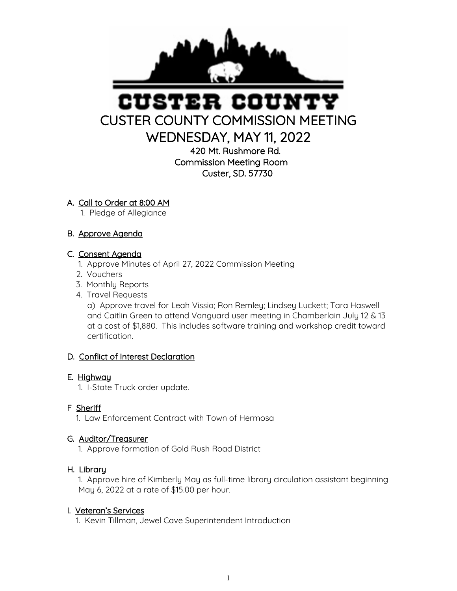

# USTER COUN CUSTER COUNTY COMMISSION MEETING

WEDNESDAY, MAY 11, 2022

420 Mt. Rushmore Rd. Commission Meeting Room Custer, SD. 57730

## A. Call to Order at 8:00 AM

1. Pledge of Allegiance

## B. Approve Agenda

## C. Consent Agenda

- 1. Approve Minutes of April 27, 2022 Commission Meeting
- 2. Vouchers
- 3. Monthly Reports
- 4. Travel Requests

 a) Approve travel for Leah Vissia; Ron Remley; Lindsey Luckett; Tara Haswell and Caitlin Green to attend Vanguard user meeting in Chamberlain July 12 & 13 at a cost of \$1,880. This includes software training and workshop credit toward certification.

## D. Conflict of Interest Declaration

#### E. Highway

1. I-State Truck order update.

## F Sheriff

1. Law Enforcement Contract with Town of Hermosa

## G. Auditor/Treasurer

1. Approve formation of Gold Rush Road District

#### H. Library

 1. Approve hire of Kimberly May as full-time library circulation assistant beginning May 6, 2022 at a rate of \$15.00 per hour.

#### I. Veteran's Services

1. Kevin Tillman, Jewel Cave Superintendent Introduction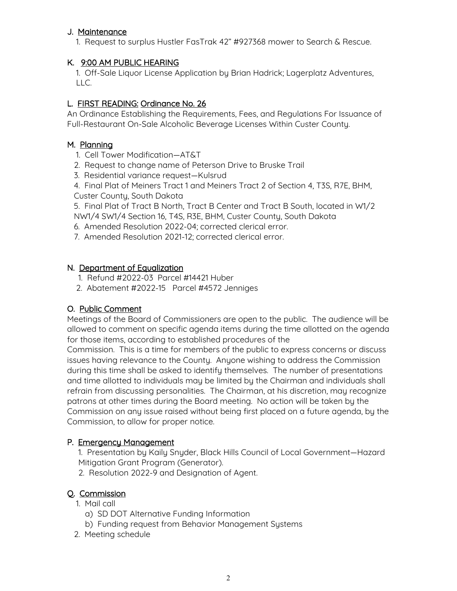#### J. Maintenance

1. Request to surplus Hustler FasTrak 42" #927368 mower to Search & Rescue.

#### K. 9:00 AM PUBLIC HEARING

 1. Off-Sale Liquor License Application by Brian Hadrick; Lagerplatz Adventures, LLC.

#### L. FIRST READING: Ordinance No. 26

An Ordinance Establishing the Requirements, Fees, and Regulations For Issuance of Full-Restaurant On-Sale Alcoholic Beverage Licenses Within Custer County.

#### M. Planning

- 1. Cell Tower Modification—AT&T
- 2. Request to change name of Peterson Drive to Bruske Trail
- 3. Residential variance request—Kulsrud

 4. Final Plat of Meiners Tract 1 and Meiners Tract 2 of Section 4, T3S, R7E, BHM, Custer County, South Dakota

 5. Final Plat of Tract B North, Tract B Center and Tract B South, located in W1/2 NW1/4 SW1/4 Section 16, T4S, R3E, BHM, Custer County, South Dakota

- 6. Amended Resolution 2022-04; corrected clerical error.
- 7. Amended Resolution 2021-12; corrected clerical error.

#### N. Department of Equalization

- 1. Refund #2022-03 Parcel #14421 Huber
- 2. Abatement #2022-15 Parcel #4572 Jenniges

#### O. Public Comment

Meetings of the Board of Commissioners are open to the public. The audience will be allowed to comment on specific agenda items during the time allotted on the agenda for those items, according to established procedures of the

Commission. This is a time for members of the public to express concerns or discuss issues having relevance to the County. Anyone wishing to address the Commission during this time shall be asked to identify themselves. The number of presentations and time allotted to individuals may be limited by the Chairman and individuals shall refrain from discussing personalities. The Chairman, at his discretion, may recognize patrons at other times during the Board meeting. No action will be taken by the Commission on any issue raised without being first placed on a future agenda, by the Commission, to allow for proper notice.

#### P. Emergency Management

- 1. Presentation by Kaily Snyder, Black Hills Council of Local Government—Hazard Mitigation Grant Program (Generator).
- 2. Resolution 2022-9 and Designation of Agent.

#### Q. Commission

- 1. Mail call
	- a) SD DOT Alternative Funding Information
	- b) Funding request from Behavior Management Systems
- 2. Meeting schedule